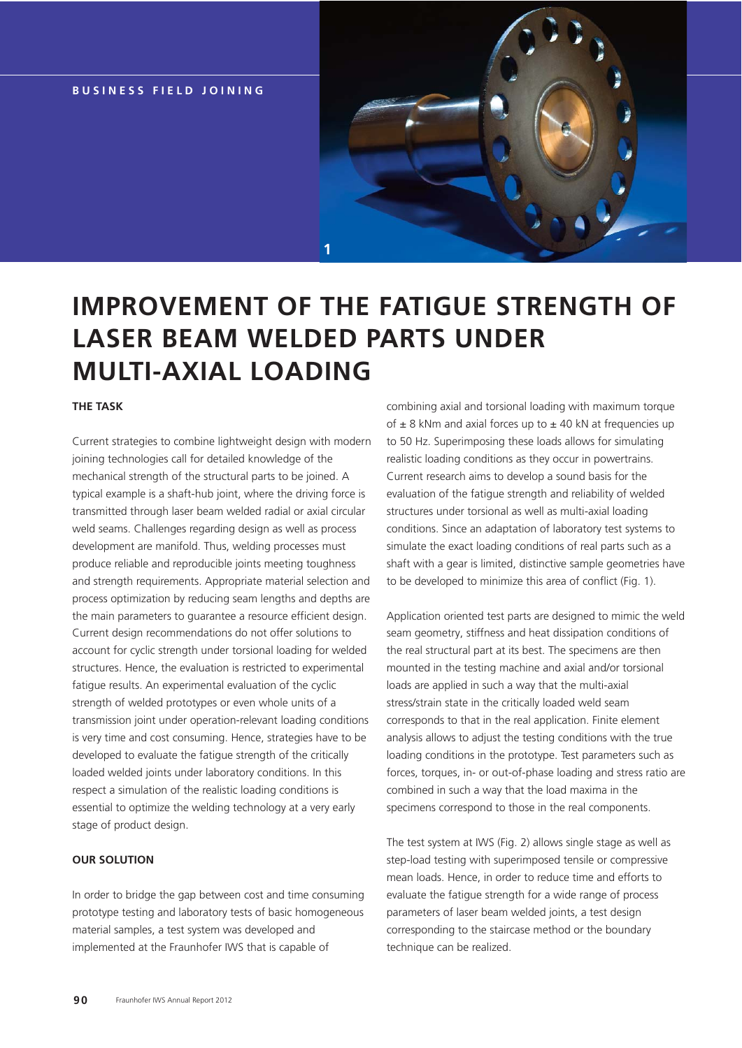**BUSINESS FIELD JOINING**



# **IMPROVEMENT OF THE FATIGUE STRENGTH OF LASER BEAM WELDED PARTS UNDER MULTI-AXIAL LOADING**

## **THE TASK**

Current strategies to combine lightweight design with modern joining technologies call for detailed knowledge of the mechanical strength of the structural parts to be joined. A typical example is a shaft-hub joint, where the driving force is transmitted through laser beam welded radial or axial circular weld seams. Challenges regarding design as well as process development are manifold. Thus, welding processes must produce reliable and reproducible joints meeting toughness and strength requirements. Appropriate material selection and process optimization by reducing seam lengths and depths are the main parameters to guarantee a resource efficient design. Current design recommendations do not offer solutions to account for cyclic strength under torsional loading for welded structures. Hence, the evaluation is restricted to experimental fatigue results. An experimental evaluation of the cyclic strength of welded prototypes or even whole units of a transmission joint under operation-relevant loading conditions is very time and cost consuming. Hence, strategies have to be developed to evaluate the fatigue strength of the critically loaded welded joints under laboratory conditions. In this respect a simulation of the realistic loading conditions is essential to optimize the welding technology at a very early stage of product design.

#### **OUR SOLUTION**

In order to bridge the gap between cost and time consuming prototype testing and laboratory tests of basic homogeneous material samples, a test system was developed and implemented at the Fraunhofer IWS that is capable of

combining axial and torsional loading with maximum torque of  $\pm$  8 kNm and axial forces up to  $\pm$  40 kN at frequencies up to 50 Hz. Superimposing these loads allows for simulating realistic loading conditions as they occur in powertrains. Current research aims to develop a sound basis for the evaluation of the fatigue strength and reliability of welded structures under torsional as well as multi-axial loading conditions. Since an adaptation of laboratory test systems to simulate the exact loading conditions of real parts such as a shaft with a gear is limited, distinctive sample geometries have to be developed to minimize this area of conflict (Fig. 1).

Application oriented test parts are designed to mimic the weld seam geometry, stiffness and heat dissipation conditions of the real structural part at its best. The specimens are then mounted in the testing machine and axial and/or torsional loads are applied in such a way that the multi-axial stress/strain state in the critically loaded weld seam corresponds to that in the real application. Finite element analysis allows to adjust the testing conditions with the true loading conditions in the prototype. Test parameters such as forces, torques, in- or out-of-phase loading and stress ratio are combined in such a way that the load maxima in the specimens correspond to those in the real components.

The test system at IWS (Fig. 2) allows single stage as well as step-load testing with superimposed tensile or compressive mean loads. Hence, in order to reduce time and efforts to evaluate the fatigue strength for a wide range of process parameters of laser beam welded joints, a test design corresponding to the staircase method or the boundary technique can be realized.